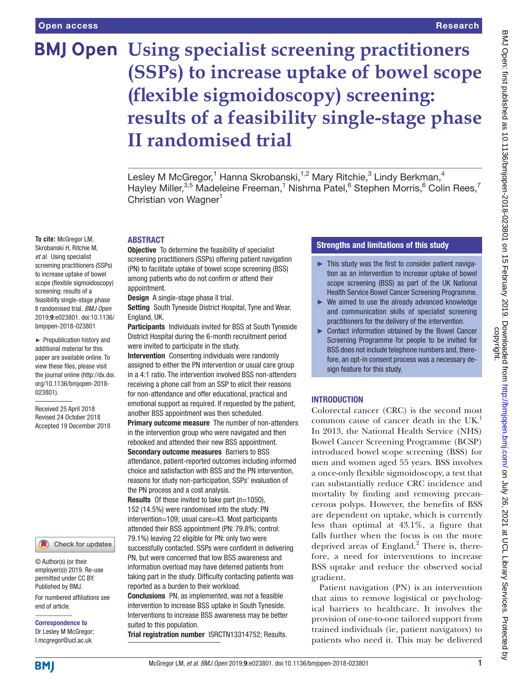# **BMJ Open Using specialist screening practitioners (SSPs) to increase uptake of bowel scope (flexible sigmoidoscopy) screening: results of a feasibility single-stage phase II randomised trial**

Lesley M McGregor,<sup>1</sup> Hanna Skrobanski,<sup>1,2</sup> Mary Ritchie,<sup>3</sup> Lindy Berkman,<sup>4</sup> Hayley Miller,<sup>3,5</sup> Madeleine Freeman,<sup>1</sup> Nishma Patel,<sup>6</sup> Stephen Morris,<sup>6</sup> Colin Rees,<sup>7</sup> Christian von Wagner<sup>1</sup>

**To cite:** McGregor LM, Skrobanski H, Ritchie M, *et al*. Using specialist screening practitioners (SSPs) to increase uptake of bowel scope (flexible sigmoidoscopy) screening: results of a feasibility single-stage phase II randomised trial. *BMJ Open* 2019;9:e023801. doi:10.1136/ bmjopen-2018-023801

► Prepublication history and additional material for this paper are available online. To view these files, please visit the journal online [\(http://dx.doi.](http://dx.doi.org/10.1136/bmjopen-2018-023801) [org/10.1136/bmjopen-2018-](http://dx.doi.org/10.1136/bmjopen-2018-023801) [023801\)](http://dx.doi.org/10.1136/bmjopen-2018-023801).

Received 25 April 2018 Revised 24 October 2018 Accepted 19 December 2018

#### Check for updates

© Author(s) (or their employer(s)) 2019. Re-use permitted under CC BY. Published by BMJ.

For numbered affiliations see end of article.

Correspondence to Dr Lesley M McGregor; l.mcgregor@ucl.ac.uk

# **ABSTRACT**

**Objective** To determine the feasibility of specialist screening practitioners (SSPs) offering patient navigation (PN) to facilitate uptake of bowel scope screening (BSS) among patients who do not confirm or attend their appointment.

Design A single-stage phase II trial.

Setting South Tyneside District Hospital, Tyne and Wear, England, UK.

Participants Individuals invited for BSS at South Tyneside District Hospital during the 6-month recruitment period were invited to participate in the study.

Intervention Consenting individuals were randomly assigned to either the PN intervention or usual care group in a 4:1 ratio. The intervention involved BSS non-attenders receiving a phone call from an SSP to elicit their reasons for non-attendance and offer educational, practical and emotional support as required. If requested by the patient, another BSS appointment was then scheduled.

**Primary outcome measure** The number of non-attenders in the intervention group who were navigated and then rebooked and attended their new BSS appointment. Secondary outcome measures Barriers to BSS attendance, patient-reported outcomes including informed choice and satisfaction with BSS and the PN intervention, reasons for study non-participation, SSPs' evaluation of

the PN process and a cost analysis. Results Of those invited to take part (n=1050), 152 (14.5%) were randomised into the study: PN intervention=109; usual care=43. Most participants attended their BSS appointment (PN: 79.8%; control:

79.1%) leaving 22 eligible for PN: only two were successfully contacted. SSPs were confident in delivering PN, but were concerned that low BSS awareness and information overload may have deterred patients from taking part in the study. Difficulty contacting patients was reported as a burden to their workload.

Conclusions PN, as implemented, was not a feasible intervention to increase BSS uptake in South Tyneside. Interventions to increase BSS awareness may be better suited to this population.

Trial registration number [ISRCTN13314752; Results.](ISRCTN13314752)

# Strengths and limitations of this study

- ► This study was the first to consider patient navigation as an intervention to increase uptake of bowel scope screening (BSS) as part of the UK National Health Service Bowel Cancer Screening Programme.
- ► We aimed to use the already advanced knowledge and communication skills of specialist screening practitioners for the delivery of the intervention.
- ► Contact information obtained by the Bowel Cancer Screening Programme for people to be invited for BSS does not include telephone numbers and, therefore, an opt-in consent process was a necessary design feature for this study.

# **INTRODUCTION**

Colorectal cancer (CRC) is the second most common cause of cancer death in the UK.<sup>1</sup> In 2013, the National Health Service (NHS) Bowel Cancer Screening Programme (BCSP) introduced bowel scope screening (BSS) for men and women aged 55 years. BSS involves a once-only flexible sigmoidoscopy, a test that can substantially reduce CRC incidence and mortality by finding and removing precancerous polyps. However, the benefits of BSS are dependent on uptake, which is currently less than optimal at 43.1%, a figure that falls further when the focus is on the more deprived areas of England.<sup>[2](#page-6-1)</sup> There is, therefore, a need for interventions to increase BSS uptake and reduce the observed social gradient.

Patient navigation (PN) is an intervention that aims to remove logistical or psychological barriers to healthcare. It involves the provision of one-to-one tailored support from trained individuals (ie, patient navigators) to patients who need it. This may be delivered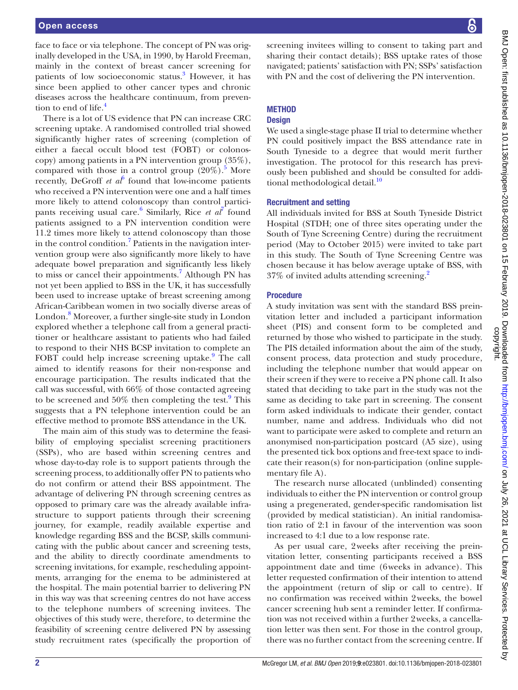face to face or via telephone. The concept of PN was originally developed in the USA, in 1990, by Harold Freeman, mainly in the context of breast cancer screening for patients of low socioeconomic status.<sup>[3](#page-6-2)</sup> However, it has since been applied to other cancer types and chronic diseases across the healthcare continuum, from prevention to end of life. $4$ 

There is a lot of US evidence that PN can increase CRC screening uptake. A randomised controlled trial showed significantly higher rates of screening (completion of either a faecal occult blood test (FOBT) or colonoscopy) among patients in a PN intervention group (35%), compared with those in a control group  $(20\%)$ .<sup>5</sup> More recently, DeGroff *et*  $a^6$  $a^6$  found that low-income patients who received a PN intervention were one and a half times more likely to attend colonoscopy than control partici-pants receiving usual care.<sup>[6](#page-6-5)</sup> Similarly, Rice *et al*<sup>*T*</sup> found patients assigned to a PN intervention condition were 11.2 times more likely to attend colonoscopy than those in the control condition.<sup>[7](#page-6-6)</sup> Patients in the navigation intervention group were also significantly more likely to have adequate bowel preparation and significantly less likely to miss or cancel their appointments.<sup>[7](#page-6-6)</sup> Although PN has not yet been applied to BSS in the UK, it has successfully been used to increase uptake of breast screening among African-Caribbean women in two socially diverse areas of London.<sup>[8](#page-6-7)</sup> Moreover, a further single-site study in London explored whether a telephone call from a general practitioner or healthcare assistant to patients who had failed to respond to their NHS BCSP invitation to complete an FOBT could help increase screening uptake.<sup>[9](#page-6-8)</sup> The call aimed to identify reasons for their non-response and encourage participation. The results indicated that the call was successful, with 66% of those contacted agreeing to be screened and  $50\%$  then completing the test.<sup>[9](#page-6-8)</sup> This suggests that a PN telephone intervention could be an effective method to promote BSS attendance in the UK.

The main aim of this study was to determine the feasibility of employing specialist screening practitioners (SSPs), who are based within screening centres and whose day-to-day role is to support patients through the screening process, to additionally offer PN to patients who do not confirm or attend their BSS appointment. The advantage of delivering PN through screening centres as opposed to primary care was the already available infrastructure to support patients through their screening journey, for example, readily available expertise and knowledge regarding BSS and the BCSP, skills communicating with the public about cancer and screening tests, and the ability to directly coordinate amendments to screening invitations, for example, rescheduling appointments, arranging for the enema to be administered at the hospital. The main potential barrier to delivering PN in this way was that screening centres do not have access to the telephone numbers of screening invitees. The objectives of this study were, therefore, to determine the feasibility of screening centre delivered PN by assessing study recruitment rates (specifically the proportion of

BMJ Open: first published as 10.1136/bmjopen-2018-023801 on 15 February 2019. Downloaded from http://bmjopen.bmj.com/ on July 26, 2021 at UCL Library Services. Protected by<br>copyright. BMJ Open: first published as 10.1136/bmjopen-2018-023801 on 15 February 2019. Downloaded from <http://bmjopen.bmj.com/> on July 26, 2021 at UCL Library Services. Protected by

screening invitees willing to consent to taking part and sharing their contact details); BSS uptake rates of those navigated; patients' satisfaction with PN; SSPs' satisfaction with PN and the cost of delivering the PN intervention.

# **METHOD**

#### **Design**

We used a single-stage phase II trial to determine whether PN could positively impact the BSS attendance rate in South Tyneside to a degree that would merit further investigation. The protocol for this research has previously been published and should be consulted for addi-tional methodological detail.<sup>[10](#page-6-9)</sup>

# Recruitment and setting

All individuals invited for BSS at South Tyneside District Hospital (STDH; one of three sites operating under the South of Tyne Screening Centre) during the recruitment period (May to October 2015) were invited to take part in this study. The South of Tyne Screening Centre was chosen because it has below average uptake of BSS, with 37% of invited adults attending screening.<sup>[2](#page-6-1)</sup>

# Procedure

A study invitation was sent with the standard BSS preinvitation letter and included a participant information sheet (PIS) and consent form to be completed and returned by those who wished to participate in the study. The PIS detailed information about the aim of the study, consent process, data protection and study procedure, including the telephone number that would appear on their screen if they were to receive a PN phone call. It also stated that deciding to take part in the study was not the same as deciding to take part in screening. The consent form asked individuals to indicate their gender, contact number, name and address. Individuals who did not want to participate were asked to complete and return an anonymised non-participation postcard (A5 size), using the presented tick box options and free-text space to indicate their reason(s) for non-participation (online [supple](https://dx.doi.org/10.1136/bmjopen-2018-023801)[mentary file A](https://dx.doi.org/10.1136/bmjopen-2018-023801)).

The research nurse allocated (unblinded) consenting individuals to either the PN intervention or control group using a pregenerated, gender-specific randomisation list (provided by medical statistician). An initial randomisation ratio of 2:1 in favour of the intervention was soon increased to 4:1 due to a low response rate.

As per usual care, 2weeks after receiving the preinvitation letter, consenting participants received a BSS appointment date and time (6weeks in advance). This letter requested confirmation of their intention to attend the appointment (return of slip or call to centre). If no confirmation was received within 2weeks, the bowel cancer screening hub sent a reminder letter. If confirmation was not received within a further 2weeks, a cancellation letter was then sent. For those in the control group, there was no further contact from the screening centre. If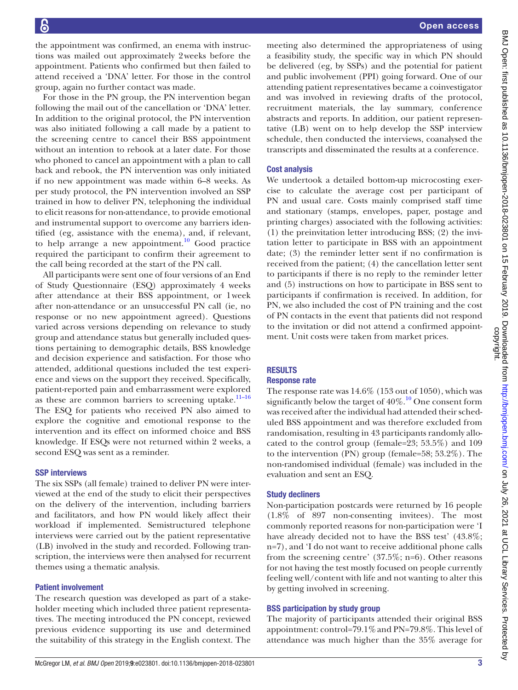the appointment was confirmed, an enema with instructions was mailed out approximately 2weeks before the appointment. Patients who confirmed but then failed to attend received a 'DNA' letter. For those in the control group, again no further contact was made.

For those in the PN group, the PN intervention began following the mail out of the cancellation or 'DNA' letter. In addition to the original protocol, the PN intervention was also initiated following a call made by a patient to the screening centre to cancel their BSS appointment without an intention to rebook at a later date. For those who phoned to cancel an appointment with a plan to call back and rebook, the PN intervention was only initiated if no new appointment was made within 6–8 weeks. As per study protocol, the PN intervention involved an SSP trained in how to deliver PN, telephoning the individual to elicit reasons for non-attendance, to provide emotional and instrumental support to overcome any barriers identified (eg, assistance with the enema), and, if relevant, to help arrange a new appointment.<sup>10</sup> Good practice required the participant to confirm their agreement to the call being recorded at the start of the PN call.

All participants were sent one of four versions of an End of Study Questionnaire (ESQ) approximately 4 weeks after attendance at their BSS appointment, or 1week after non-attendance or an unsuccessful PN call (ie, no response or no new appointment agreed). Questions varied across versions depending on relevance to study group and attendance status but generally included questions pertaining to demographic details, BSS knowledge and decision experience and satisfaction. For those who attended, additional questions included the test experience and views on the support they received. Specifically, patient-reported pain and embarrassment were explored as these are common barriers to screening uptake. $11-16$ The ESQ for patients who received PN also aimed to explore the cognitive and emotional response to the intervention and its effect on informed choice and BSS knowledge. If ESQs were not returned within 2 weeks, a second ESQ was sent as a reminder.

# SSP interviews

The six SSPs (all female) trained to deliver PN were interviewed at the end of the study to elicit their perspectives on the delivery of the intervention, including barriers and facilitators, and how PN would likely affect their workload if implemented. Semistructured telephone interviews were carried out by the patient representative (LB) involved in the study and recorded. Following transcription, the interviews were then analysed for recurrent themes using a thematic analysis.

#### Patient involvement

The research question was developed as part of a stakeholder meeting which included three patient representatives. The meeting introduced the PN concept, reviewed previous evidence supporting its use and determined the suitability of this strategy in the English context. The

meeting also determined the appropriateness of using a feasibility study, the specific way in which PN should be delivered (eg, by SSPs) and the potential for patient and public involvement (PPI) going forward. One of our attending patient representatives became a coinvestigator and was involved in reviewing drafts of the protocol, recruitment materials, the lay summary, conference abstracts and reports. In addition, our patient representative (LB) went on to help develop the SSP interview schedule, then conducted the interviews, coanalysed the transcripts and disseminated the results at a conference.

#### Cost analysis

We undertook a detailed bottom-up microcosting exercise to calculate the average cost per participant of PN and usual care. Costs mainly comprised staff time and stationary (stamps, envelopes, paper, postage and printing charges) associated with the following activities: (1) the preinvitation letter introducing BSS; (2) the invitation letter to participate in BSS with an appointment date; (3) the reminder letter sent if no confirmation is received from the patient; (4) the cancellation letter sent to participants if there is no reply to the reminder letter and (5) instructions on how to participate in BSS sent to participants if confirmation is received. In addition, for PN, we also included the cost of PN training and the cost of PN contacts in the event that patients did not respond to the invitation or did not attend a confirmed appointment. Unit costs were taken from market prices.

# **RESULTS**

#### Response rate

The response rate was 14.6% (153 out of 1050), which was significantly below the target of  $40\%$ .<sup>[10](#page-6-9)</sup> One consent form was received after the individual had attended their scheduled BSS appointment and was therefore excluded from randomisation, resulting in 43 participants randomly allocated to the control group (female=23; 53.5%) and 109 to the intervention (PN) group (female=58; 53.2%). The non-randomised individual (female) was included in the evaluation and sent an ESQ.

# Study decliners

Non-participation postcards were returned by 16 people (1.8% of 897 non-consenting invitees). The most commonly reported reasons for non-participation were 'I have already decided not to have the BSS test' (43.8%; n=7), and 'I do not want to receive additional phone calls from the screening centre' (37.5%; n=6). Other reasons for not having the test mostly focused on people currently feeling well/content with life and not wanting to alter this by getting involved in screening.

# BSS participation by study group

The majority of participants attended their original BSS appointment: control=79.1%and PN=79.8%. This level of attendance was much higher than the 35% average for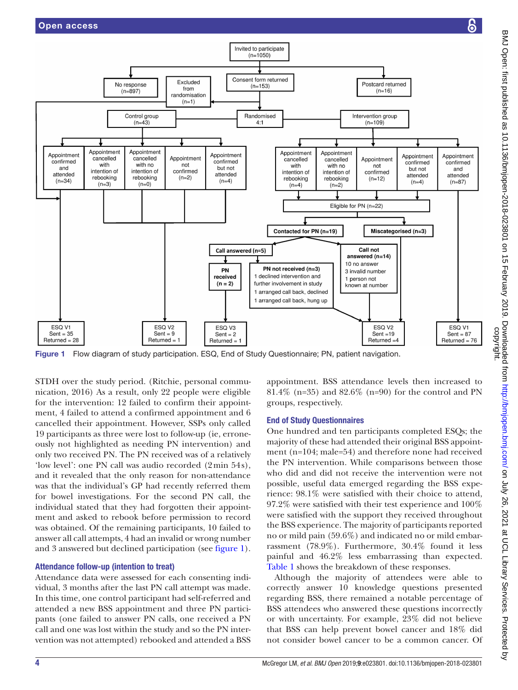

<span id="page-3-0"></span>Figure 1 Flow diagram of study participation. ESQ, End of Study Questionnaire; PN, patient navigation.

STDH over the study period. (Ritchie, personal communication, 2016) As a result, only 22 people were eligible for the intervention: 12 failed to confirm their appointment, 4 failed to attend a confirmed appointment and 6 cancelled their appointment. However, SSPs only called 19 participants as three were lost to follow-up (ie, erroneously not highlighted as needing PN intervention) and only two received PN. The PN received was of a relatively 'low level': one PN call was audio recorded (2min 54s), and it revealed that the only reason for non-attendance was that the individual's GP had recently referred them for bowel investigations. For the second PN call, the individual stated that they had forgotten their appointment and asked to rebook before permission to record was obtained. Of the remaining participants, 10 failed to answer all call attempts, 4 had an invalid or wrong number and 3 answered but declined participation (see [figure](#page-3-0) 1).

#### Attendance follow-up (intention to treat)

Attendance data were assessed for each consenting individual, 3 months after the last PN call attempt was made. In this time, one control participant had self-referred and attended a new BSS appointment and three PN participants (one failed to answer PN calls, one received a PN call and one was lost within the study and so the PN intervention was not attempted) rebooked and attended a BSS

appointment. BSS attendance levels then increased to 81.4% (n=35) and 82.6% (n=90) for the control and PN groups, respectively.

#### End of Study Questionnaires

One hundred and ten participants completed ESQs; the majority of these had attended their original BSS appointment (n=104; male=54) and therefore none had received the PN intervention. While comparisons between those who did and did not receive the intervention were not possible, useful data emerged regarding the BSS experience: 98.1% were satisfied with their choice to attend, 97.2% were satisfied with their test experience and 100% were satisfied with the support they received throughout the BSS experience. The majority of participants reported no or mild pain (59.6%) and indicated no or mild embarrassment (78.9%). Furthermore, 30.4% found it less painful and 46.2% less embarrassing than expected. [Table](#page-4-0) 1 shows the breakdown of these responses.

Although the majority of attendees were able to correctly answer 10 knowledge questions presented regarding BSS, there remained a notable percentage of BSS attendees who answered these questions incorrectly or with uncertainty. For example, 23% did not believe that BSS can help prevent bowel cancer and 18% did not consider bowel cancer to be a common cancer. Of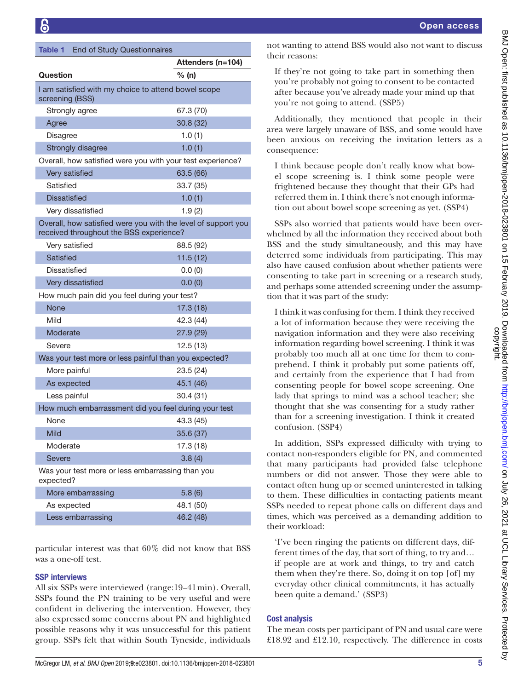<span id="page-4-0"></span>

| Table 1 End of Study Questionnaires                                                                      |                   |
|----------------------------------------------------------------------------------------------------------|-------------------|
|                                                                                                          | Attenders (n=104) |
| Question                                                                                                 | % (n)             |
| I am satisfied with my choice to attend bowel scope<br>screening (BSS)                                   |                   |
| Strongly agree                                                                                           | 67.3 (70)         |
| Agree                                                                                                    | 30.8 (32)         |
| <b>Disagree</b>                                                                                          | 1.0(1)            |
| Strongly disagree                                                                                        | 1.0(1)            |
| Overall, how satisfied were you with your test experience?                                               |                   |
| Very satisfied                                                                                           | 63.5 (66)         |
| Satisfied                                                                                                | 33.7(35)          |
| <b>Dissatisfied</b>                                                                                      | 1.0(1)            |
| Very dissatisfied                                                                                        | 1.9(2)            |
| Overall, how satisfied were you with the level of support you<br>received throughout the BSS experience? |                   |
| Very satisfied                                                                                           | 88.5 (92)         |
| Satisfied                                                                                                | 11.5(12)          |
| Dissatisfied                                                                                             | 0.0(0)            |
| Very dissatisfied                                                                                        | 0.0(0)            |
| How much pain did you feel during your test?                                                             |                   |
| None                                                                                                     | 17.3(18)          |
| Mild                                                                                                     | 42.3 (44)         |
| Moderate                                                                                                 | 27.9 (29)         |
| Severe                                                                                                   | 12.5(13)          |
| Was your test more or less painful than you expected?                                                    |                   |
| More painful                                                                                             | 23.5 (24)         |
| As expected                                                                                              | 45.1 (46)         |
| Less painful                                                                                             | 30.4(31)          |
| How much embarrassment did you feel during your test                                                     |                   |
| None                                                                                                     | 43.3 (45)         |
| Mild                                                                                                     | 35.6 (37)         |
| Moderate                                                                                                 | 17.3(18)          |
| Severe                                                                                                   | 3.8(4)            |
| Was your test more or less embarrassing than you<br>expected?                                            |                   |
| More embarrassing                                                                                        | 5.8(6)            |
| As expected                                                                                              | 48.1 (50)         |
| Less embarrassing                                                                                        | 46.2 (48)         |

particular interest was that 60% did not know that BSS was a one-off test.

# SSP interviews

All six SSPs were interviewed (range:19–41min). Overall, SSPs found the PN training to be very useful and were confident in delivering the intervention. However, they also expressed some concerns about PN and highlighted possible reasons why it was unsuccessful for this patient group. SSPs felt that within South Tyneside, individuals

not wanting to attend BSS would also not want to discuss their reasons:

If they're not going to take part in something then you're probably not going to consent to be contacted after because you've already made your mind up that you're not going to attend. (SSP5)

Additionally, they mentioned that people in their area were largely unaware of BSS, and some would have been anxious on receiving the invitation letters as a consequence:

I think because people don't really know what bowel scope screening is. I think some people were frightened because they thought that their GPs had referred them in. I think there's not enough information out about bowel scope screening as yet. (SSP4)

SSPs also worried that patients would have been overwhelmed by all the information they received about both BSS and the study simultaneously, and this may have deterred some individuals from participating. This may also have caused confusion about whether patients were consenting to take part in screening or a research study, and perhaps some attended screening under the assumption that it was part of the study:

I think it was confusing for them. I think they received a lot of information because they were receiving the navigation information and they were also receiving information regarding bowel screening. I think it was probably too much all at one time for them to comprehend. I think it probably put some patients off, and certainly from the experience that I had from consenting people for bowel scope screening. One lady that springs to mind was a school teacher; she thought that she was consenting for a study rather than for a screening investigation. I think it created confusion. (SSP4)

In addition, SSPs expressed difficulty with trying to contact non-responders eligible for PN, and commented that many participants had provided false telephone numbers or did not answer. Those they were able to contact often hung up or seemed uninterested in talking to them. These difficulties in contacting patients meant SSPs needed to repeat phone calls on different days and times, which was perceived as a demanding addition to their workload:

'I've been ringing the patients on different days, different times of the day, that sort of thing, to try and… if people are at work and things, to try and catch them when they're there. So, doing it on top [of] my everyday other clinical commitments, it has actually been quite a demand.' (SSP3)

# Cost analysis

The mean costs per participant of PN and usual care were £18.92 and £12.10, respectively. The difference in costs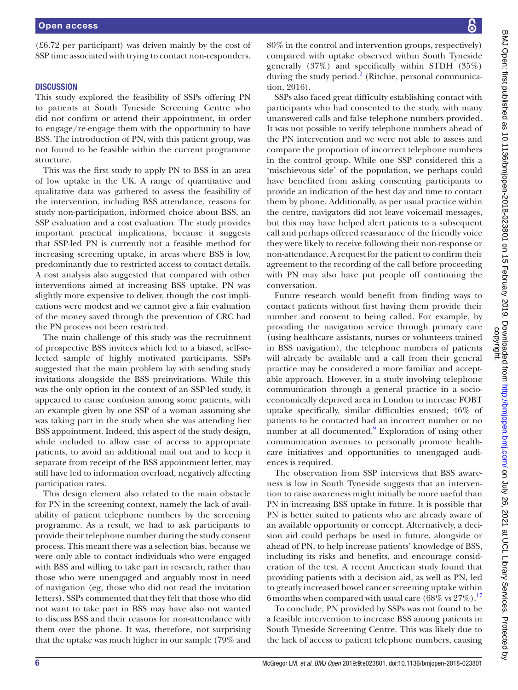(£6.72 per participant) was driven mainly by the cost of SSP time associated with trying to contact non-responders.

#### **DISCUSSION**

This study explored the feasibility of SSPs offering PN to patients at South Tyneside Screening Centre who did not confirm or attend their appointment, in order to engage/re-engage them with the opportunity to have BSS. The introduction of PN, with this patient group, was not found to be feasible within the current programme structure.

This was the first study to apply PN to BSS in an area of low uptake in the UK. A range of quantitative and qualitative data was gathered to assess the feasibility of the intervention, including BSS attendance, reasons for study non-participation, informed choice about BSS, an SSP evaluation and a cost evaluation. The study provides important practical implications, because it suggests that SSP-led PN is currently not a feasible method for increasing screening uptake, in areas where BSS is low, predominantly due to restricted access to contact details. A cost analysis also suggested that compared with other interventions aimed at increasing BSS uptake, PN was slightly more expensive to deliver, though the cost implications were modest and we cannot give a fair evaluation of the money saved through the prevention of CRC had the PN process not been restricted.

The main challenge of this study was the recruitment of prospective BSS invitees which led to a biased, self-selected sample of highly motivated participants. SSPs suggested that the main problem lay with sending study invitations alongside the BSS preinvitations. While this was the only option in the context of an SSP-led study, it appeared to cause confusion among some patients, with an example given by one SSP of a woman assuming she was taking part in the study when she was attending her BSS appointment. Indeed, this aspect of the study design, while included to allow ease of access to appropriate patients, to avoid an additional mail out and to keep it separate from receipt of the BSS appointment letter, may still have led to information overload, negatively affecting participation rates.

This design element also related to the main obstacle for PN in the screening context, namely the lack of availability of patient telephone numbers by the screening programme. As a result, we had to ask participants to provide their telephone number during the study consent process. This meant there was a selection bias, because we were only able to contact individuals who were engaged with BSS and willing to take part in research, rather than those who were unengaged and arguably most in need of navigation (eg, those who did not read the invitation letters). SSPs commented that they felt that those who did not want to take part in BSS may have also not wanted to discuss BSS and their reasons for non-attendance with them over the phone. It was, therefore, not surprising that the uptake was much higher in our sample (79% and

80% in the control and intervention groups, respectively) compared with uptake observed within South Tyneside generally (37%) and specifically within STDH (35%) during the study period. $^{2}$  (Ritchie, personal communication, 2016).

SSPs also faced great difficulty establishing contact with participants who had consented to the study, with many unanswered calls and false telephone numbers provided. It was not possible to verify telephone numbers ahead of the PN intervention and we were not able to assess and compare the proportion of incorrect telephone numbers in the control group. While one SSP considered this a 'mischievous side' of the population, we perhaps could have benefited from asking consenting participants to provide an indication of the best day and time to contact them by phone. Additionally, as per usual practice within the centre, navigators did not leave voicemail messages, but this may have helped alert patients to a subsequent call and perhaps offered reassurance of the friendly voice they were likely to receive following their non-response or non-attendance. A request for the patient to confirm their agreement to the recording of the call before proceeding with PN may also have put people off continuing the conversation.

Future research would benefit from finding ways to contact patients without first having them provide their number and consent to being called. For example, by providing the navigation service through primary care (using healthcare assistants, nurses or volunteers trained in BSS navigation), the telephone numbers of patients will already be available and a call from their general practice may be considered a more familiar and acceptable approach. However, in a study involving telephone communication through a general practice in a socioeconomically deprived area in London to increase FOBT uptake specifically, similar difficulties ensued; 46% of patients to be contacted had an incorrect number or no number at all documented.<sup>9</sup> Exploration of using other communication avenues to personally promote healthcare initiatives and opportunities to unengaged audiences is required.

The observation from SSP interviews that BSS awareness is low in South Tyneside suggests that an intervention to raise awareness might initially be more useful than PN in increasing BSS uptake in future. It is possible that PN is better suited to patients who are already aware of an available opportunity or concept. Alternatively, a decision aid could perhaps be used in future, alongside or ahead of PN, to help increase patients' knowledge of BSS, including its risks and benefits, and encourage consideration of the test. A recent American study found that providing patients with a decision aid, as well as PN, led to greatly increased bowel cancer screening uptake within 6 months when compared with usual care  $(68\% \text{ vs } 27\%)$ .<sup>[17](#page-6-11)</sup>

To conclude, PN provided by SSPs was not found to be a feasible intervention to increase BSS among patients in South Tyneside Screening Centre. This was likely due to the lack of access to patient telephone numbers, causing